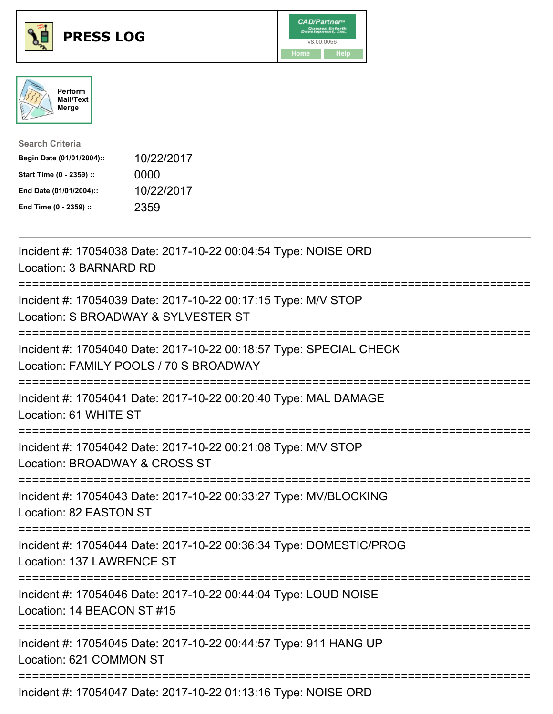





| <b>Search Criteria</b>    |            |
|---------------------------|------------|
| Begin Date (01/01/2004):: | 10/22/2017 |
| Start Time (0 - 2359) ::  | 0000       |
| End Date (01/01/2004)::   | 10/22/2017 |
| End Time (0 - 2359) ::    | 2359       |

| Incident #: 17054038 Date: 2017-10-22 00:04:54 Type: NOISE ORD<br>Location: 3 BARNARD RD                                                                                                                                                                                                                                                        |
|-------------------------------------------------------------------------------------------------------------------------------------------------------------------------------------------------------------------------------------------------------------------------------------------------------------------------------------------------|
| Incident #: 17054039 Date: 2017-10-22 00:17:15 Type: M/V STOP<br>Location: S BROADWAY & SYLVESTER ST                                                                                                                                                                                                                                            |
| Incident #: 17054040 Date: 2017-10-22 00:18:57 Type: SPECIAL CHECK<br>Location: FAMILY POOLS / 70 S BROADWAY                                                                                                                                                                                                                                    |
| Incident #: 17054041 Date: 2017-10-22 00:20:40 Type: MAL DAMAGE<br>Location: 61 WHITE ST                                                                                                                                                                                                                                                        |
| Incident #: 17054042 Date: 2017-10-22 00:21:08 Type: M/V STOP<br>Location: BROADWAY & CROSS ST                                                                                                                                                                                                                                                  |
| Incident #: 17054043 Date: 2017-10-22 00:33:27 Type: MV/BLOCKING<br>Location: 82 EASTON ST                                                                                                                                                                                                                                                      |
| Incident #: 17054044 Date: 2017-10-22 00:36:34 Type: DOMESTIC/PROG<br>Location: 137 LAWRENCE ST                                                                                                                                                                                                                                                 |
| Incident #: 17054046 Date: 2017-10-22 00:44:04 Type: LOUD NOISE<br>Location: 14 BEACON ST #15                                                                                                                                                                                                                                                   |
| Incident #: 17054045 Date: 2017-10-22 00:44:57 Type: 911 HANG UP<br>Location: 621 COMMON ST                                                                                                                                                                                                                                                     |
| $L_{\text{c}}$ , $L_{\text{c}}$ , $L_{\text{c}}$ , $L_{\text{c}}$ , $\mathbf{A}$ , $\mathbf{A}$ , $\mathbf{A}$ , $\mathbf{A}$ , $\mathbf{A}$ , $\mathbf{A}$ , $\mathbf{A}$ , $\mathbf{A}$ , $\mathbf{A}$ , $\mathbf{A}$ , $\mathbf{A}$ , $\mathbf{A}$ , $\mathbf{A}$ , $\mathbf{A}$ , $\mathbf{A}$ , $\mathbf{A}$ , $\mathbf{A}$ , $\mathbf{A}$ |

Incident #: 17054047 Date: 2017-10-22 01:13:16 Type: NOISE ORD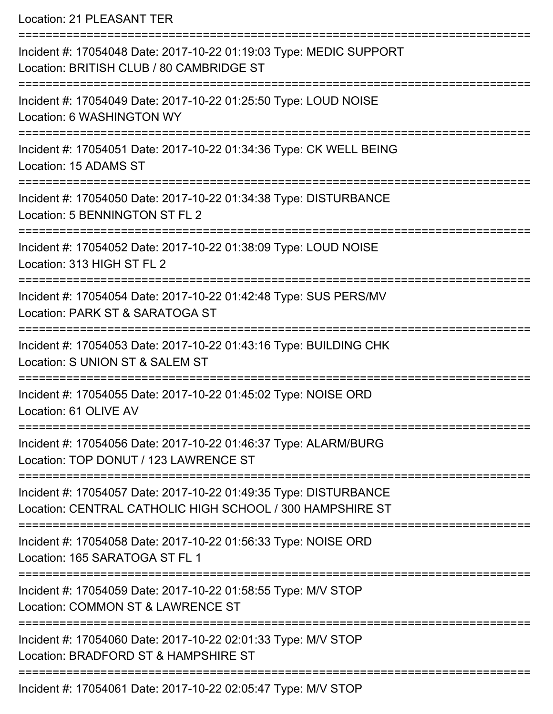Location: 21 PLEASANT TER

| Incident #: 17054048 Date: 2017-10-22 01:19:03 Type: MEDIC SUPPORT<br>Location: BRITISH CLUB / 80 CAMBRIDGE ST                |
|-------------------------------------------------------------------------------------------------------------------------------|
| Incident #: 17054049 Date: 2017-10-22 01:25:50 Type: LOUD NOISE<br>Location: 6 WASHINGTON WY                                  |
| Incident #: 17054051 Date: 2017-10-22 01:34:36 Type: CK WELL BEING<br>Location: 15 ADAMS ST                                   |
| Incident #: 17054050 Date: 2017-10-22 01:34:38 Type: DISTURBANCE<br>Location: 5 BENNINGTON ST FL 2                            |
| Incident #: 17054052 Date: 2017-10-22 01:38:09 Type: LOUD NOISE<br>Location: 313 HIGH ST FL 2                                 |
| Incident #: 17054054 Date: 2017-10-22 01:42:48 Type: SUS PERS/MV<br>Location: PARK ST & SARATOGA ST                           |
| Incident #: 17054053 Date: 2017-10-22 01:43:16 Type: BUILDING CHK<br>Location: S UNION ST & SALEM ST                          |
| Incident #: 17054055 Date: 2017-10-22 01:45:02 Type: NOISE ORD<br>Location: 61 OLIVE AV                                       |
| Incident #: 17054056 Date: 2017-10-22 01:46:37 Type: ALARM/BURG<br>Location: TOP DONUT / 123 LAWRENCE ST                      |
| Incident #: 17054057 Date: 2017-10-22 01:49:35 Type: DISTURBANCE<br>Location: CENTRAL CATHOLIC HIGH SCHOOL / 300 HAMPSHIRE ST |
| Incident #: 17054058 Date: 2017-10-22 01:56:33 Type: NOISE ORD<br>Location: 165 SARATOGA ST FL 1                              |
| Incident #: 17054059 Date: 2017-10-22 01:58:55 Type: M/V STOP<br>Location: COMMON ST & LAWRENCE ST                            |
| Incident #: 17054060 Date: 2017-10-22 02:01:33 Type: M/V STOP<br>Location: BRADFORD ST & HAMPSHIRE ST                         |
| Incident #: 17054061 Date: 2017-10-22 02:05:47 Type: M/V STOP                                                                 |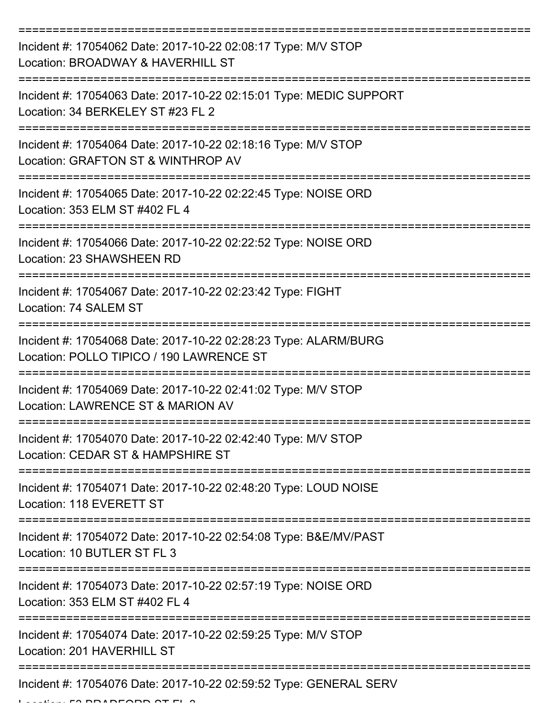| Incident #: 17054062 Date: 2017-10-22 02:08:17 Type: M/V STOP<br>Location: BROADWAY & HAVERHILL ST          |
|-------------------------------------------------------------------------------------------------------------|
| Incident #: 17054063 Date: 2017-10-22 02:15:01 Type: MEDIC SUPPORT<br>Location: 34 BERKELEY ST #23 FL 2     |
| Incident #: 17054064 Date: 2017-10-22 02:18:16 Type: M/V STOP<br>Location: GRAFTON ST & WINTHROP AV         |
| Incident #: 17054065 Date: 2017-10-22 02:22:45 Type: NOISE ORD<br>Location: 353 ELM ST #402 FL 4            |
| Incident #: 17054066 Date: 2017-10-22 02:22:52 Type: NOISE ORD<br>Location: 23 SHAWSHEEN RD                 |
| Incident #: 17054067 Date: 2017-10-22 02:23:42 Type: FIGHT<br>Location: 74 SALEM ST                         |
| Incident #: 17054068 Date: 2017-10-22 02:28:23 Type: ALARM/BURG<br>Location: POLLO TIPICO / 190 LAWRENCE ST |
| Incident #: 17054069 Date: 2017-10-22 02:41:02 Type: M/V STOP<br>Location: LAWRENCE ST & MARION AV          |
| Incident #: 17054070 Date: 2017-10-22 02:42:40 Type: M/V STOP<br>Location: CEDAR ST & HAMPSHIRE ST          |
| Incident #: 17054071 Date: 2017-10-22 02:48:20 Type: LOUD NOISE<br>Location: 118 EVERETT ST                 |
| Incident #: 17054072 Date: 2017-10-22 02:54:08 Type: B&E/MV/PAST<br>Location: 10 BUTLER ST FL 3             |
| Incident #: 17054073 Date: 2017-10-22 02:57:19 Type: NOISE ORD<br>Location: 353 ELM ST #402 FL 4            |
| Incident #: 17054074 Date: 2017-10-22 02:59:25 Type: M/V STOP<br>Location: 201 HAVERHILL ST                 |
| Incident #: 17054076 Date: 2017-10-22 02:59:52 Type: GENERAL SERV                                           |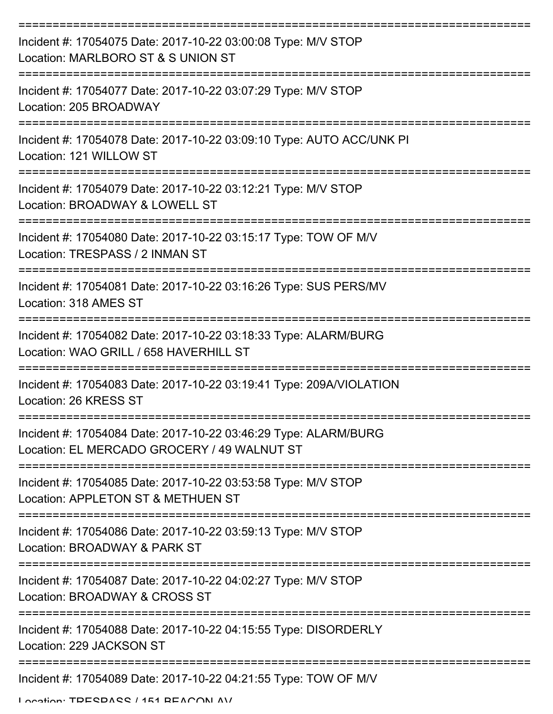| Incident #: 17054075 Date: 2017-10-22 03:00:08 Type: M/V STOP<br>Location: MARLBORO ST & S UNION ST            |
|----------------------------------------------------------------------------------------------------------------|
| Incident #: 17054077 Date: 2017-10-22 03:07:29 Type: M/V STOP<br>Location: 205 BROADWAY                        |
| Incident #: 17054078 Date: 2017-10-22 03:09:10 Type: AUTO ACC/UNK PI<br>Location: 121 WILLOW ST                |
| Incident #: 17054079 Date: 2017-10-22 03:12:21 Type: M/V STOP<br>Location: BROADWAY & LOWELL ST                |
| Incident #: 17054080 Date: 2017-10-22 03:15:17 Type: TOW OF M/V<br>Location: TRESPASS / 2 INMAN ST             |
| Incident #: 17054081 Date: 2017-10-22 03:16:26 Type: SUS PERS/MV<br>Location: 318 AMES ST                      |
| Incident #: 17054082 Date: 2017-10-22 03:18:33 Type: ALARM/BURG<br>Location: WAO GRILL / 658 HAVERHILL ST      |
| Incident #: 17054083 Date: 2017-10-22 03:19:41 Type: 209A/VIOLATION<br>Location: 26 KRESS ST                   |
| Incident #: 17054084 Date: 2017-10-22 03:46:29 Type: ALARM/BURG<br>Location: EL MERCADO GROCERY / 49 WALNUT ST |
| Incident #: 17054085 Date: 2017-10-22 03:53:58 Type: M/V STOP<br>Location: APPLETON ST & METHUEN ST            |
| Incident #: 17054086 Date: 2017-10-22 03:59:13 Type: M/V STOP<br>Location: BROADWAY & PARK ST                  |
| Incident #: 17054087 Date: 2017-10-22 04:02:27 Type: M/V STOP<br>Location: BROADWAY & CROSS ST                 |
| Incident #: 17054088 Date: 2017-10-22 04:15:55 Type: DISORDERLY<br>Location: 229 JACKSON ST                    |
| Incident #: 17054089 Date: 2017-10-22 04:21:55 Type: TOW OF M/V                                                |

Location: TDECDACC / 151 BEACON AV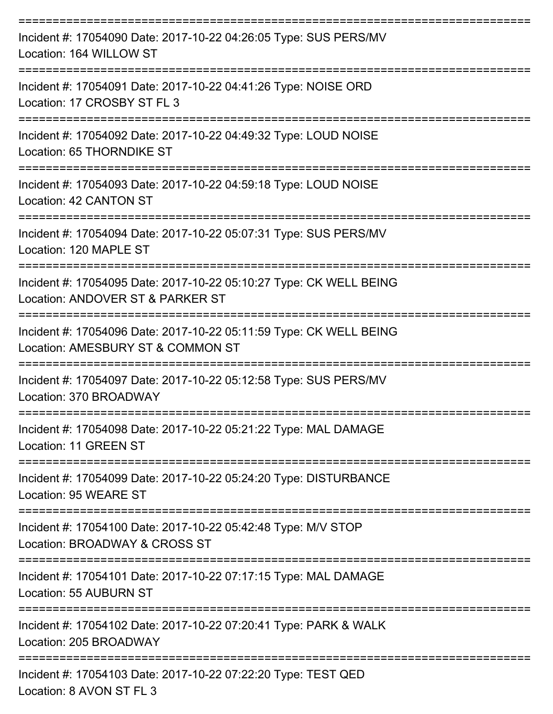| Incident #: 17054090 Date: 2017-10-22 04:26:05 Type: SUS PERS/MV<br>Location: 164 WILLOW ST             |
|---------------------------------------------------------------------------------------------------------|
| Incident #: 17054091 Date: 2017-10-22 04:41:26 Type: NOISE ORD<br>Location: 17 CROSBY ST FL 3           |
| Incident #: 17054092 Date: 2017-10-22 04:49:32 Type: LOUD NOISE<br>Location: 65 THORNDIKE ST            |
| Incident #: 17054093 Date: 2017-10-22 04:59:18 Type: LOUD NOISE<br>Location: 42 CANTON ST               |
| Incident #: 17054094 Date: 2017-10-22 05:07:31 Type: SUS PERS/MV<br>Location: 120 MAPLE ST              |
| Incident #: 17054095 Date: 2017-10-22 05:10:27 Type: CK WELL BEING<br>Location: ANDOVER ST & PARKER ST  |
| Incident #: 17054096 Date: 2017-10-22 05:11:59 Type: CK WELL BEING<br>Location: AMESBURY ST & COMMON ST |
| Incident #: 17054097 Date: 2017-10-22 05:12:58 Type: SUS PERS/MV<br>Location: 370 BROADWAY              |
| Incident #: 17054098 Date: 2017-10-22 05:21:22 Type: MAL DAMAGE<br>Location: 11 GREEN ST                |
| Incident #: 17054099 Date: 2017-10-22 05:24:20 Type: DISTURBANCE<br>Location: 95 WEARE ST               |
| Incident #: 17054100 Date: 2017-10-22 05:42:48 Type: M/V STOP<br>Location: BROADWAY & CROSS ST          |
| Incident #: 17054101 Date: 2017-10-22 07:17:15 Type: MAL DAMAGE<br>Location: 55 AUBURN ST               |
| Incident #: 17054102 Date: 2017-10-22 07:20:41 Type: PARK & WALK<br>Location: 205 BROADWAY              |
| Incident #: 17054103 Date: 2017-10-22 07:22:20 Type: TEST QED<br>Location: 8 AVON ST FL 3               |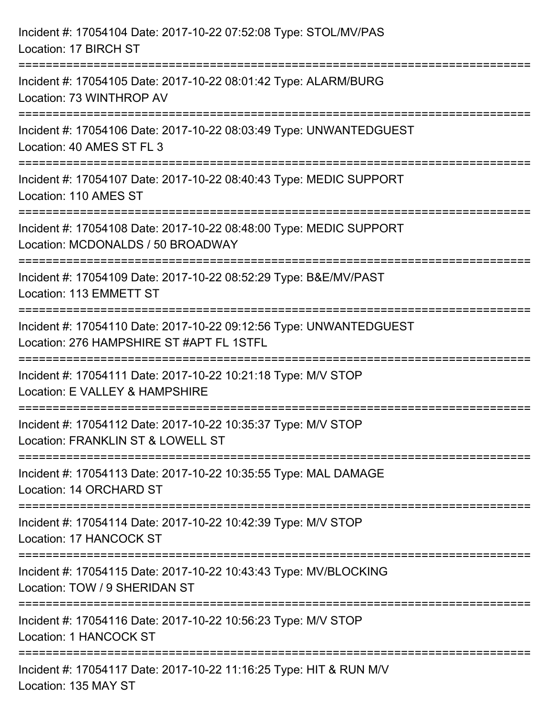| Incident #: 17054104 Date: 2017-10-22 07:52:08 Type: STOL/MV/PAS<br>Location: 17 BIRCH ST                                              |
|----------------------------------------------------------------------------------------------------------------------------------------|
| Incident #: 17054105 Date: 2017-10-22 08:01:42 Type: ALARM/BURG<br>Location: 73 WINTHROP AV                                            |
| Incident #: 17054106 Date: 2017-10-22 08:03:49 Type: UNWANTEDGUEST<br>Location: 40 AMES ST FL 3<br>=================================== |
| Incident #: 17054107 Date: 2017-10-22 08:40:43 Type: MEDIC SUPPORT<br>Location: 110 AMES ST                                            |
| Incident #: 17054108 Date: 2017-10-22 08:48:00 Type: MEDIC SUPPORT<br>Location: MCDONALDS / 50 BROADWAY                                |
| Incident #: 17054109 Date: 2017-10-22 08:52:29 Type: B&E/MV/PAST<br>Location: 113 EMMETT ST                                            |
| Incident #: 17054110 Date: 2017-10-22 09:12:56 Type: UNWANTEDGUEST<br>Location: 276 HAMPSHIRE ST #APT FL 1STFL                         |
| Incident #: 17054111 Date: 2017-10-22 10:21:18 Type: M/V STOP<br>Location: E VALLEY & HAMPSHIRE                                        |
| Incident #: 17054112 Date: 2017-10-22 10:35:37 Type: M/V STOP<br>Location: FRANKLIN ST & LOWELL ST                                     |
| Incident #: 17054113 Date: 2017-10-22 10:35:55 Type: MAL DAMAGE<br>Location: 14 ORCHARD ST                                             |
| Incident #: 17054114 Date: 2017-10-22 10:42:39 Type: M/V STOP<br>Location: 17 HANCOCK ST                                               |
| Incident #: 17054115 Date: 2017-10-22 10:43:43 Type: MV/BLOCKING<br>Location: TOW / 9 SHERIDAN ST                                      |
| Incident #: 17054116 Date: 2017-10-22 10:56:23 Type: M/V STOP<br><b>Location: 1 HANCOCK ST</b>                                         |
| Incident #: 17054117 Date: 2017-10-22 11:16:25 Type: HIT & RUN M/V<br>Location: 135 MAY ST                                             |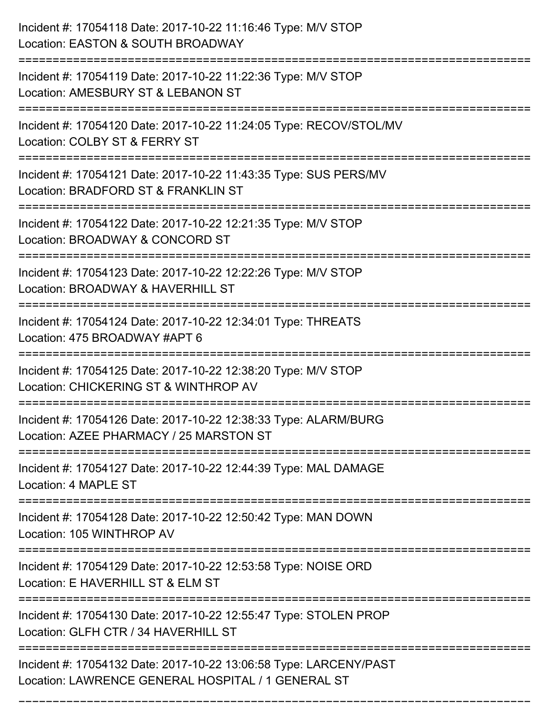| Incident #: 17054118 Date: 2017-10-22 11:16:46 Type: M/V STOP<br>Location: EASTON & SOUTH BROADWAY                                         |
|--------------------------------------------------------------------------------------------------------------------------------------------|
| Incident #: 17054119 Date: 2017-10-22 11:22:36 Type: M/V STOP<br>Location: AMESBURY ST & LEBANON ST                                        |
| Incident #: 17054120 Date: 2017-10-22 11:24:05 Type: RECOV/STOL/MV<br>Location: COLBY ST & FERRY ST<br>.---------------------------------- |
| Incident #: 17054121 Date: 2017-10-22 11:43:35 Type: SUS PERS/MV<br>Location: BRADFORD ST & FRANKLIN ST                                    |
| Incident #: 17054122 Date: 2017-10-22 12:21:35 Type: M/V STOP<br>Location: BROADWAY & CONCORD ST                                           |
| Incident #: 17054123 Date: 2017-10-22 12:22:26 Type: M/V STOP<br>Location: BROADWAY & HAVERHILL ST                                         |
| Incident #: 17054124 Date: 2017-10-22 12:34:01 Type: THREATS<br>Location: 475 BROADWAY #APT 6                                              |
| Incident #: 17054125 Date: 2017-10-22 12:38:20 Type: M/V STOP<br>Location: CHICKERING ST & WINTHROP AV                                     |
| Incident #: 17054126 Date: 2017-10-22 12:38:33 Type: ALARM/BURG<br>Location: AZEE PHARMACY / 25 MARSTON ST                                 |
| Incident #: 17054127 Date: 2017-10-22 12:44:39 Type: MAL DAMAGE<br>Location: 4 MAPLE ST                                                    |
| Incident #: 17054128 Date: 2017-10-22 12:50:42 Type: MAN DOWN<br>Location: 105 WINTHROP AV                                                 |
| Incident #: 17054129 Date: 2017-10-22 12:53:58 Type: NOISE ORD<br>Location: E HAVERHILL ST & ELM ST                                        |
| Incident #: 17054130 Date: 2017-10-22 12:55:47 Type: STOLEN PROP<br>Location: GLFH CTR / 34 HAVERHILL ST                                   |
| Incident #: 17054132 Date: 2017-10-22 13:06:58 Type: LARCENY/PAST<br>Location: LAWRENCE GENERAL HOSPITAL / 1 GENERAL ST                    |

===========================================================================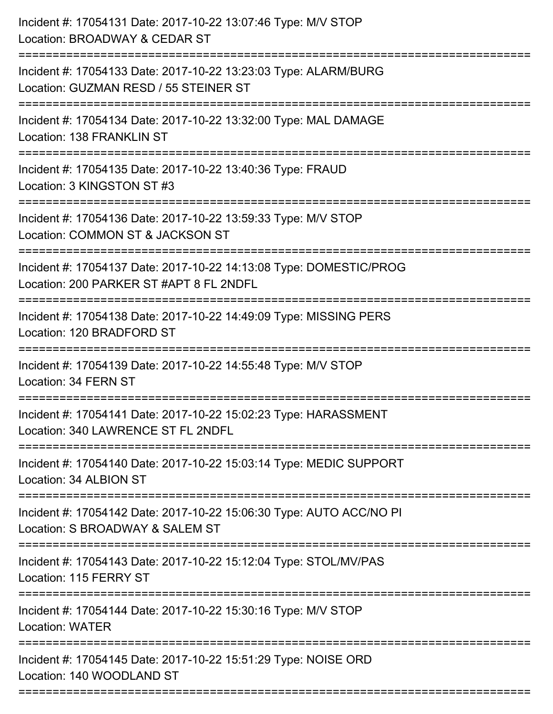| Incident #: 17054131 Date: 2017-10-22 13:07:46 Type: M/V STOP<br>Location: BROADWAY & CEDAR ST<br>======================         |
|----------------------------------------------------------------------------------------------------------------------------------|
| Incident #: 17054133 Date: 2017-10-22 13:23:03 Type: ALARM/BURG<br>Location: GUZMAN RESD / 55 STEINER ST                         |
| Incident #: 17054134 Date: 2017-10-22 13:32:00 Type: MAL DAMAGE<br>Location: 138 FRANKLIN ST<br>================================ |
| Incident #: 17054135 Date: 2017-10-22 13:40:36 Type: FRAUD<br>Location: 3 KINGSTON ST #3                                         |
| Incident #: 17054136 Date: 2017-10-22 13:59:33 Type: M/V STOP<br>Location: COMMON ST & JACKSON ST                                |
| Incident #: 17054137 Date: 2017-10-22 14:13:08 Type: DOMESTIC/PROG<br>Location: 200 PARKER ST #APT 8 FL 2NDFL                    |
| Incident #: 17054138 Date: 2017-10-22 14:49:09 Type: MISSING PERS<br>Location: 120 BRADFORD ST                                   |
| Incident #: 17054139 Date: 2017-10-22 14:55:48 Type: M/V STOP<br>Location: 34 FERN ST                                            |
| Incident #: 17054141 Date: 2017-10-22 15:02:23 Type: HARASSMENT<br>Location: 340 LAWRENCE ST FL 2NDFL                            |
| Incident #: 17054140 Date: 2017-10-22 15:03:14 Type: MEDIC SUPPORT<br>Location: 34 ALBION ST                                     |
| Incident #: 17054142 Date: 2017-10-22 15:06:30 Type: AUTO ACC/NO PI<br>Location: S BROADWAY & SALEM ST                           |
| Incident #: 17054143 Date: 2017-10-22 15:12:04 Type: STOL/MV/PAS<br>Location: 115 FERRY ST                                       |
| Incident #: 17054144 Date: 2017-10-22 15:30:16 Type: M/V STOP<br><b>Location: WATER</b>                                          |
| Incident #: 17054145 Date: 2017-10-22 15:51:29 Type: NOISE ORD<br>Location: 140 WOODLAND ST                                      |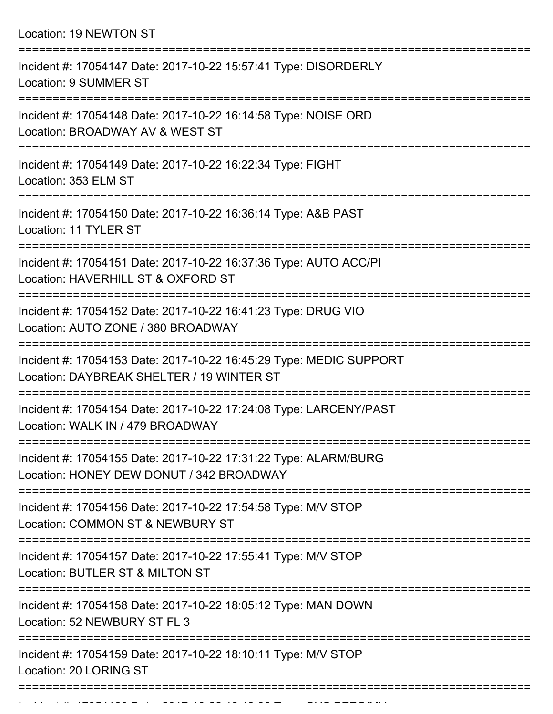Location: 19 NEWTON ST

| Incident #: 17054147 Date: 2017-10-22 15:57:41 Type: DISORDERLY<br>Location: 9 SUMMER ST                               |
|------------------------------------------------------------------------------------------------------------------------|
| Incident #: 17054148 Date: 2017-10-22 16:14:58 Type: NOISE ORD<br>Location: BROADWAY AV & WEST ST                      |
| Incident #: 17054149 Date: 2017-10-22 16:22:34 Type: FIGHT<br>Location: 353 ELM ST                                     |
| Incident #: 17054150 Date: 2017-10-22 16:36:14 Type: A&B PAST<br>Location: 11 TYLER ST                                 |
| Incident #: 17054151 Date: 2017-10-22 16:37:36 Type: AUTO ACC/PI<br>Location: HAVERHILL ST & OXFORD ST                 |
| Incident #: 17054152 Date: 2017-10-22 16:41:23 Type: DRUG VIO<br>Location: AUTO ZONE / 380 BROADWAY<br>--------------- |
| Incident #: 17054153 Date: 2017-10-22 16:45:29 Type: MEDIC SUPPORT<br>Location: DAYBREAK SHELTER / 19 WINTER ST        |
| Incident #: 17054154 Date: 2017-10-22 17:24:08 Type: LARCENY/PAST<br>Location: WALK IN / 479 BROADWAY                  |
| Incident #: 17054155 Date: 2017-10-22 17:31:22 Type: ALARM/BURG<br>Location: HONEY DEW DONUT / 342 BROADWAY            |
| Incident #: 17054156 Date: 2017-10-22 17:54:58 Type: M/V STOP<br>Location: COMMON ST & NEWBURY ST                      |
| Incident #: 17054157 Date: 2017-10-22 17:55:41 Type: M/V STOP<br>Location: BUTLER ST & MILTON ST                       |
| Incident #: 17054158 Date: 2017-10-22 18:05:12 Type: MAN DOWN<br>Location: 52 NEWBURY ST FL 3                          |
| Incident #: 17054159 Date: 2017-10-22 18:10:11 Type: M/V STOP<br>Location: 20 LORING ST                                |
| ---------------------------                                                                                            |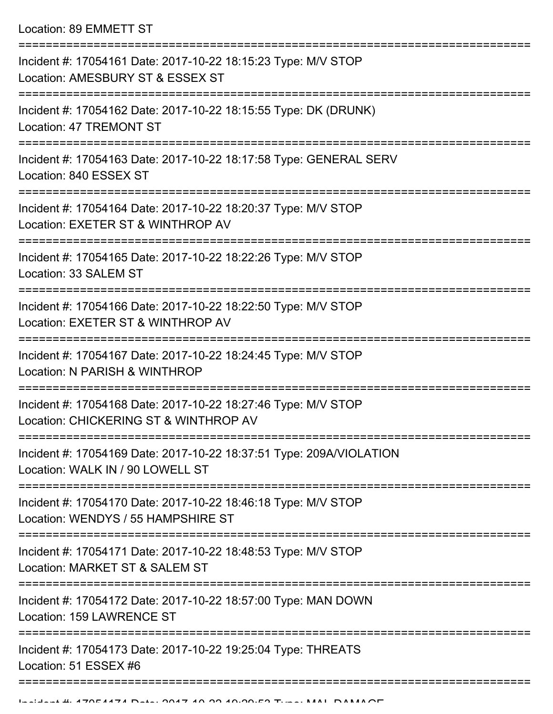Location: 89 EMMETT ST

| Incident #: 17054161 Date: 2017-10-22 18:15:23 Type: M/V STOP<br>Location: AMESBURY ST & ESSEX ST       |
|---------------------------------------------------------------------------------------------------------|
| Incident #: 17054162 Date: 2017-10-22 18:15:55 Type: DK (DRUNK)<br><b>Location: 47 TREMONT ST</b>       |
| Incident #: 17054163 Date: 2017-10-22 18:17:58 Type: GENERAL SERV<br>Location: 840 ESSEX ST             |
| Incident #: 17054164 Date: 2017-10-22 18:20:37 Type: M/V STOP<br>Location: EXETER ST & WINTHROP AV      |
| Incident #: 17054165 Date: 2017-10-22 18:22:26 Type: M/V STOP<br>Location: 33 SALEM ST                  |
| Incident #: 17054166 Date: 2017-10-22 18:22:50 Type: M/V STOP<br>Location: EXETER ST & WINTHROP AV      |
| Incident #: 17054167 Date: 2017-10-22 18:24:45 Type: M/V STOP<br>Location: N PARISH & WINTHROP          |
| Incident #: 17054168 Date: 2017-10-22 18:27:46 Type: M/V STOP<br>Location: CHICKERING ST & WINTHROP AV  |
| Incident #: 17054169 Date: 2017-10-22 18:37:51 Type: 209A/VIOLATION<br>Location: WALK IN / 90 LOWELL ST |
| Incident #: 17054170 Date: 2017-10-22 18:46:18 Type: M/V STOP<br>Location: WENDYS / 55 HAMPSHIRE ST     |
| Incident #: 17054171 Date: 2017-10-22 18:48:53 Type: M/V STOP<br>Location: MARKET ST & SALEM ST         |
| Incident #: 17054172 Date: 2017-10-22 18:57:00 Type: MAN DOWN<br>Location: 159 LAWRENCE ST              |
| Incident #: 17054173 Date: 2017-10-22 19:25:04 Type: THREATS<br>Location: 51 ESSEX #6                   |
|                                                                                                         |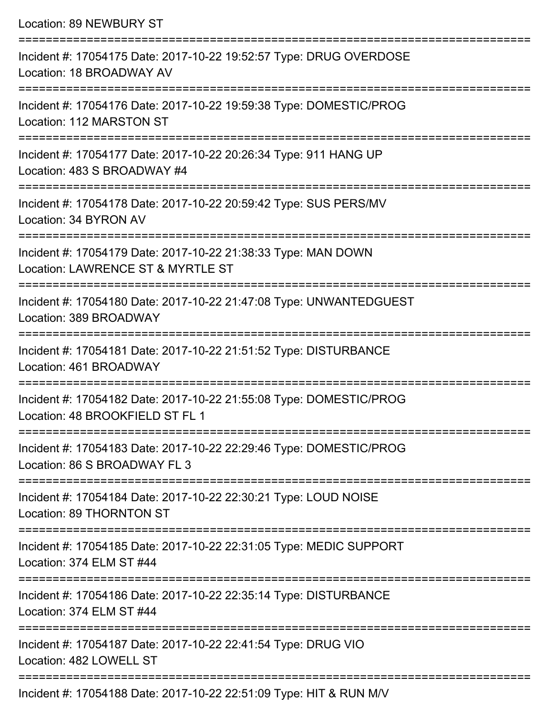| <b>Location: 89 NEWBURY ST</b>                                                                                                                                          |
|-------------------------------------------------------------------------------------------------------------------------------------------------------------------------|
| Incident #: 17054175 Date: 2017-10-22 19:52:57 Type: DRUG OVERDOSE<br>Location: 18 BROADWAY AV                                                                          |
| Incident #: 17054176 Date: 2017-10-22 19:59:38 Type: DOMESTIC/PROG<br>Location: 112 MARSTON ST                                                                          |
| Incident #: 17054177 Date: 2017-10-22 20:26:34 Type: 911 HANG UP<br>Location: 483 S BROADWAY #4<br>:===========================                                         |
| Incident #: 17054178 Date: 2017-10-22 20:59:42 Type: SUS PERS/MV<br>Location: 34 BYRON AV                                                                               |
| Incident #: 17054179 Date: 2017-10-22 21:38:33 Type: MAN DOWN<br>Location: LAWRENCE ST & MYRTLE ST                                                                      |
| Incident #: 17054180 Date: 2017-10-22 21:47:08 Type: UNWANTEDGUEST<br>Location: 389 BROADWAY                                                                            |
| Incident #: 17054181 Date: 2017-10-22 21:51:52 Type: DISTURBANCE<br>Location: 461 BROADWAY                                                                              |
| =====================================<br>Incident #: 17054182 Date: 2017-10-22 21:55:08 Type: DOMESTIC/PROG<br>Location: 48 BROOKFIELD ST FL 1<br>===================== |
| Incident #: 17054183 Date: 2017-10-22 22:29:46 Type: DOMESTIC/PROG<br>Location: 86 S BROADWAY FL 3                                                                      |
| Incident #: 17054184 Date: 2017-10-22 22:30:21 Type: LOUD NOISE<br>Location: 89 THORNTON ST                                                                             |
| Incident #: 17054185 Date: 2017-10-22 22:31:05 Type: MEDIC SUPPORT<br>Location: 374 ELM ST #44                                                                          |
| Incident #: 17054186 Date: 2017-10-22 22:35:14 Type: DISTURBANCE<br>Location: 374 ELM ST #44                                                                            |
| Incident #: 17054187 Date: 2017-10-22 22:41:54 Type: DRUG VIO<br>Location: 482 LOWELL ST                                                                                |

Incident #: 17054188 Date: 2017-10-22 22:51:09 Type: HIT & RUN M/V